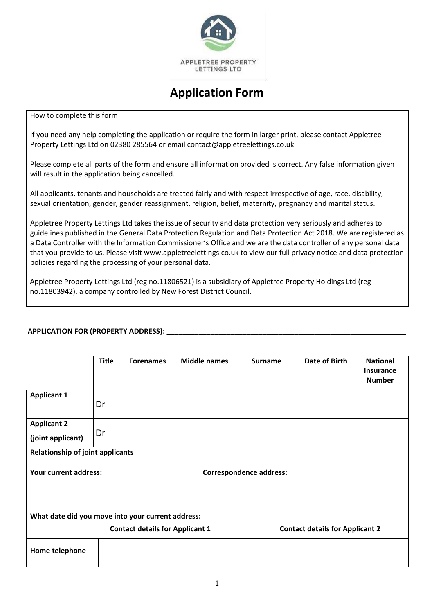

# **Application Form**

How to complete this form

If you need any help completing the application or require the form in larger print, please contact Appletree Property Lettings Ltd on 02380 285564 or email [contact@appletreelettings.co.uk](mailto:contact@appletreelettings.co.uk) 

Please complete all parts of the form and ensure all information provided is correct. Any false information given will result in the application being cancelled.

All applicants, tenants and households are treated fairly and with respect irrespective of age, race, disability, sexual orientation, gender, gender reassignment, religion, belief, maternity, pregnancy and marital status.

Appletree Property Lettings Ltd takes the issue of security and data protection very seriously and adheres to guidelines published in the General Data Protection Regulation and Data Protection Act 2018. We are registered as a Data Controller with the Information Commissioner's Office and we are the data controller of any personal data that you provide to us. Please visit [www.appletreelettings.co.uk](http://www.appletreelettings.co.uk/) to view our full privacy notice and data protection policies regarding the processing of your personal data.

Appletree Property Lettings Ltd (reg no.11806521) is a subsidiary of Appletree Property Holdings Ltd (reg no.11803942), a company controlled by New Forest District Council.

## **APPLICATION FOR (PROPERTY ADDRESS):**

|                                                                                  | <b>Title</b>                                                   | <b>Forenames</b> |  | <b>Middle names</b> | <b>Surname</b> | Date of Birth | <b>National</b> |
|----------------------------------------------------------------------------------|----------------------------------------------------------------|------------------|--|---------------------|----------------|---------------|-----------------|
|                                                                                  |                                                                |                  |  |                     |                |               | Insurance       |
|                                                                                  |                                                                |                  |  |                     |                |               |                 |
|                                                                                  |                                                                |                  |  |                     |                |               | <b>Number</b>   |
| <b>Applicant 1</b>                                                               |                                                                |                  |  |                     |                |               |                 |
|                                                                                  |                                                                |                  |  |                     |                |               |                 |
|                                                                                  | Dr                                                             |                  |  |                     |                |               |                 |
|                                                                                  |                                                                |                  |  |                     |                |               |                 |
| <b>Applicant 2</b>                                                               |                                                                |                  |  |                     |                |               |                 |
|                                                                                  | Dr                                                             |                  |  |                     |                |               |                 |
| (joint applicant)                                                                |                                                                |                  |  |                     |                |               |                 |
|                                                                                  |                                                                |                  |  |                     |                |               |                 |
| <b>Relationship of joint applicants</b>                                          |                                                                |                  |  |                     |                |               |                 |
|                                                                                  |                                                                |                  |  |                     |                |               |                 |
|                                                                                  | <b>Your current address:</b><br><b>Correspondence address:</b> |                  |  |                     |                |               |                 |
|                                                                                  |                                                                |                  |  |                     |                |               |                 |
|                                                                                  |                                                                |                  |  |                     |                |               |                 |
|                                                                                  |                                                                |                  |  |                     |                |               |                 |
|                                                                                  |                                                                |                  |  |                     |                |               |                 |
|                                                                                  |                                                                |                  |  |                     |                |               |                 |
| What date did you move into your current address:                                |                                                                |                  |  |                     |                |               |                 |
| <b>Contact details for Applicant 2</b><br><b>Contact details for Applicant 1</b> |                                                                |                  |  |                     |                |               |                 |
|                                                                                  |                                                                |                  |  |                     |                |               |                 |
|                                                                                  |                                                                |                  |  |                     |                |               |                 |
| Home telephone                                                                   |                                                                |                  |  |                     |                |               |                 |
|                                                                                  |                                                                |                  |  |                     |                |               |                 |
|                                                                                  |                                                                |                  |  |                     |                |               |                 |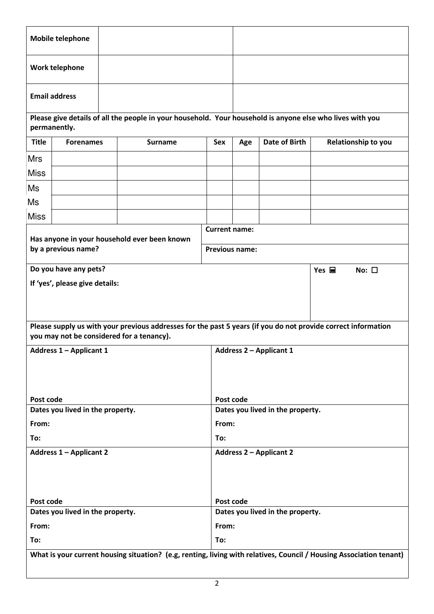| Mobile telephone                 |                                                                                                                           |                                                                                                                     |                                  |                                  |                                |                                     |  |  |
|----------------------------------|---------------------------------------------------------------------------------------------------------------------------|---------------------------------------------------------------------------------------------------------------------|----------------------------------|----------------------------------|--------------------------------|-------------------------------------|--|--|
|                                  | Work telephone                                                                                                            |                                                                                                                     |                                  |                                  |                                |                                     |  |  |
|                                  | <b>Email address</b>                                                                                                      |                                                                                                                     |                                  |                                  |                                |                                     |  |  |
|                                  | Please give details of all the people in your household. Your household is anyone else who lives with you<br>permanently. |                                                                                                                     |                                  |                                  |                                |                                     |  |  |
| <b>Title</b>                     | <b>Forenames</b>                                                                                                          | <b>Surname</b>                                                                                                      | Sex                              | Age                              | <b>Date of Birth</b>           | Relationship to you                 |  |  |
| <b>Mrs</b>                       |                                                                                                                           |                                                                                                                     |                                  |                                  |                                |                                     |  |  |
| <b>Miss</b>                      |                                                                                                                           |                                                                                                                     |                                  |                                  |                                |                                     |  |  |
| Ms                               |                                                                                                                           |                                                                                                                     |                                  |                                  |                                |                                     |  |  |
| Ms                               |                                                                                                                           |                                                                                                                     |                                  |                                  |                                |                                     |  |  |
| <b>Miss</b>                      |                                                                                                                           |                                                                                                                     |                                  |                                  |                                |                                     |  |  |
|                                  |                                                                                                                           |                                                                                                                     | <b>Current name:</b>             |                                  |                                |                                     |  |  |
|                                  | by a previous name?                                                                                                       | Has anyone in your household ever been known                                                                        | <b>Previous name:</b>            |                                  |                                |                                     |  |  |
|                                  | Do you have any pets?                                                                                                     |                                                                                                                     |                                  |                                  |                                | Yes $\blacksquare$<br>No: $\square$ |  |  |
|                                  | If 'yes', please give details:                                                                                            |                                                                                                                     |                                  |                                  |                                |                                     |  |  |
|                                  |                                                                                                                           |                                                                                                                     |                                  |                                  |                                |                                     |  |  |
|                                  |                                                                                                                           |                                                                                                                     |                                  |                                  |                                |                                     |  |  |
|                                  |                                                                                                                           | Please supply us with your previous addresses for the past 5 years (if you do not provide correct information       |                                  |                                  |                                |                                     |  |  |
|                                  |                                                                                                                           | you may not be considered for a tenancy).                                                                           |                                  |                                  |                                |                                     |  |  |
|                                  | <b>Address 1 - Applicant 1</b>                                                                                            |                                                                                                                     |                                  |                                  | <b>Address 2 - Applicant 1</b> |                                     |  |  |
|                                  |                                                                                                                           |                                                                                                                     |                                  |                                  |                                |                                     |  |  |
|                                  |                                                                                                                           |                                                                                                                     |                                  |                                  |                                |                                     |  |  |
| Post code                        |                                                                                                                           |                                                                                                                     |                                  | Post code                        |                                |                                     |  |  |
|                                  | Dates you lived in the property.                                                                                          |                                                                                                                     |                                  | Dates you lived in the property. |                                |                                     |  |  |
| From:                            |                                                                                                                           |                                                                                                                     |                                  | From:                            |                                |                                     |  |  |
| To:                              |                                                                                                                           |                                                                                                                     | To:                              |                                  |                                |                                     |  |  |
| <b>Address 1 - Applicant 2</b>   |                                                                                                                           |                                                                                                                     | <b>Address 2 - Applicant 2</b>   |                                  |                                |                                     |  |  |
|                                  |                                                                                                                           |                                                                                                                     |                                  |                                  |                                |                                     |  |  |
|                                  |                                                                                                                           |                                                                                                                     |                                  |                                  |                                |                                     |  |  |
| Post code                        |                                                                                                                           |                                                                                                                     |                                  | Post code                        |                                |                                     |  |  |
| Dates you lived in the property. |                                                                                                                           |                                                                                                                     | Dates you lived in the property. |                                  |                                |                                     |  |  |
| From:                            |                                                                                                                           |                                                                                                                     | From:                            |                                  |                                |                                     |  |  |
| To:                              |                                                                                                                           |                                                                                                                     | To:                              |                                  |                                |                                     |  |  |
|                                  |                                                                                                                           | What is your current housing situation? (e.g, renting, living with relatives, Council / Housing Association tenant) |                                  |                                  |                                |                                     |  |  |
|                                  |                                                                                                                           |                                                                                                                     |                                  |                                  |                                |                                     |  |  |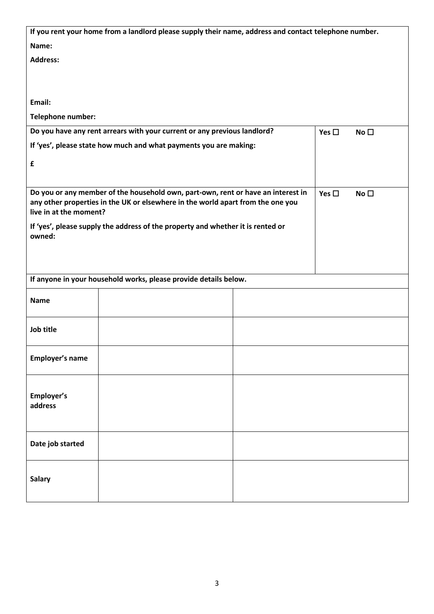| If you rent your home from a landlord please supply their name, address and contact telephone number.                                                                                         |  |  |               |                 |
|-----------------------------------------------------------------------------------------------------------------------------------------------------------------------------------------------|--|--|---------------|-----------------|
| Name:                                                                                                                                                                                         |  |  |               |                 |
| <b>Address:</b>                                                                                                                                                                               |  |  |               |                 |
|                                                                                                                                                                                               |  |  |               |                 |
|                                                                                                                                                                                               |  |  |               |                 |
| Email:                                                                                                                                                                                        |  |  |               |                 |
| Telephone number:                                                                                                                                                                             |  |  |               |                 |
| Do you have any rent arrears with your current or any previous landlord?                                                                                                                      |  |  | Yes $\square$ | No <sub>1</sub> |
| If 'yes', please state how much and what payments you are making:                                                                                                                             |  |  |               |                 |
| £                                                                                                                                                                                             |  |  |               |                 |
|                                                                                                                                                                                               |  |  |               |                 |
| Do you or any member of the household own, part-own, rent or have an interest in<br>any other properties in the UK or elsewhere in the world apart from the one you<br>live in at the moment? |  |  |               | No <sub>1</sub> |
| If 'yes', please supply the address of the property and whether it is rented or<br>owned:                                                                                                     |  |  |               |                 |
|                                                                                                                                                                                               |  |  |               |                 |
|                                                                                                                                                                                               |  |  |               |                 |
| If anyone in your household works, please provide details below.                                                                                                                              |  |  |               |                 |
| <b>Name</b>                                                                                                                                                                                   |  |  |               |                 |
| Job title                                                                                                                                                                                     |  |  |               |                 |
| Employer's name                                                                                                                                                                               |  |  |               |                 |
| Employer's<br>address                                                                                                                                                                         |  |  |               |                 |
| Date job started                                                                                                                                                                              |  |  |               |                 |
| <b>Salary</b>                                                                                                                                                                                 |  |  |               |                 |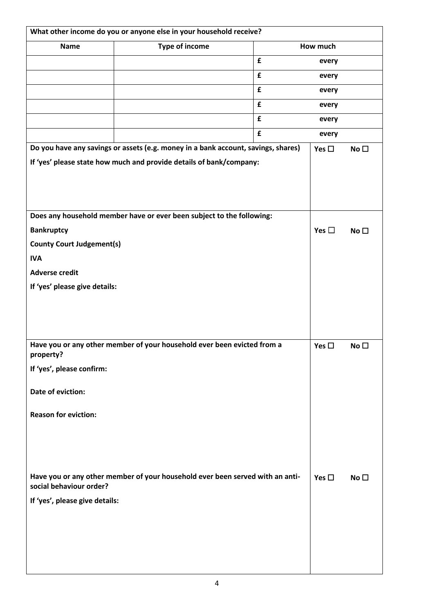| What other income do you or anyone else in your household receive? |                                                                                   |   |               |                 |
|--------------------------------------------------------------------|-----------------------------------------------------------------------------------|---|---------------|-----------------|
| <b>Name</b>                                                        | Type of income                                                                    |   | How much      |                 |
|                                                                    |                                                                                   | £ | every         |                 |
|                                                                    |                                                                                   | £ | every         |                 |
|                                                                    |                                                                                   | £ | every         |                 |
|                                                                    |                                                                                   | £ | every         |                 |
|                                                                    |                                                                                   | £ | every         |                 |
|                                                                    |                                                                                   | £ | every         |                 |
|                                                                    | Do you have any savings or assets (e.g. money in a bank account, savings, shares) |   | Yes $\square$ | No <sub>1</sub> |
|                                                                    | If 'yes' please state how much and provide details of bank/company:               |   |               |                 |
|                                                                    |                                                                                   |   |               |                 |
|                                                                    |                                                                                   |   |               |                 |
|                                                                    |                                                                                   |   |               |                 |
|                                                                    | Does any household member have or ever been subject to the following:             |   |               |                 |
| <b>Bankruptcy</b>                                                  |                                                                                   |   | Yes $\square$ | No <sub>1</sub> |
| <b>County Court Judgement(s)</b>                                   |                                                                                   |   |               |                 |
| <b>IVA</b>                                                         |                                                                                   |   |               |                 |
| <b>Adverse credit</b>                                              |                                                                                   |   |               |                 |
| If 'yes' please give details:                                      |                                                                                   |   |               |                 |
|                                                                    |                                                                                   |   |               |                 |
|                                                                    |                                                                                   |   |               |                 |
|                                                                    |                                                                                   |   |               |                 |
| property?                                                          | Have you or any other member of your household ever been evicted from a           |   | Yes $\square$ | No <sub>1</sub> |
| If 'yes', please confirm:                                          |                                                                                   |   |               |                 |
| Date of eviction:                                                  |                                                                                   |   |               |                 |
| <b>Reason for eviction:</b>                                        |                                                                                   |   |               |                 |
|                                                                    |                                                                                   |   |               |                 |
|                                                                    |                                                                                   |   |               |                 |
|                                                                    |                                                                                   |   |               |                 |
| social behaviour order?                                            | Have you or any other member of your household ever been served with an anti-     |   | Yes $\square$ | No <sub>1</sub> |
| If 'yes', please give details:                                     |                                                                                   |   |               |                 |
|                                                                    |                                                                                   |   |               |                 |
|                                                                    |                                                                                   |   |               |                 |
|                                                                    |                                                                                   |   |               |                 |
|                                                                    |                                                                                   |   |               |                 |
|                                                                    |                                                                                   |   |               |                 |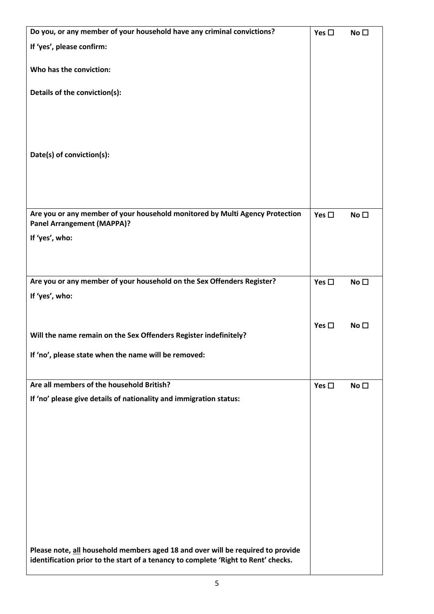| Do you, or any member of your household have any criminal convictions?                                                                                                | Yes $\square$ | No <sub>1</sub> |
|-----------------------------------------------------------------------------------------------------------------------------------------------------------------------|---------------|-----------------|
| If 'yes', please confirm:                                                                                                                                             |               |                 |
| Who has the conviction:                                                                                                                                               |               |                 |
| Details of the conviction(s):                                                                                                                                         |               |                 |
|                                                                                                                                                                       |               |                 |
| Date(s) of conviction(s):                                                                                                                                             |               |                 |
|                                                                                                                                                                       |               |                 |
| Are you or any member of your household monitored by Multi Agency Protection<br><b>Panel Arrangement (MAPPA)?</b>                                                     | Yes $\square$ | No <sub>1</sub> |
| If 'yes', who:                                                                                                                                                        |               |                 |
|                                                                                                                                                                       |               |                 |
| Are you or any member of your household on the Sex Offenders Register?<br>If 'yes', who:                                                                              | Yes $\square$ | No <sub>1</sub> |
|                                                                                                                                                                       |               |                 |
| Will the name remain on the Sex Offenders Register indefinitely?                                                                                                      | Yes $\square$ | No $\square$    |
| If 'no', please state when the name will be removed:                                                                                                                  |               |                 |
| Are all members of the household British?                                                                                                                             | Yes $\square$ | No <sub>1</sub> |
| If 'no' please give details of nationality and immigration status:                                                                                                    |               |                 |
|                                                                                                                                                                       |               |                 |
|                                                                                                                                                                       |               |                 |
|                                                                                                                                                                       |               |                 |
|                                                                                                                                                                       |               |                 |
|                                                                                                                                                                       |               |                 |
|                                                                                                                                                                       |               |                 |
| Please note, all household members aged 18 and over will be required to provide<br>identification prior to the start of a tenancy to complete 'Right to Rent' checks. |               |                 |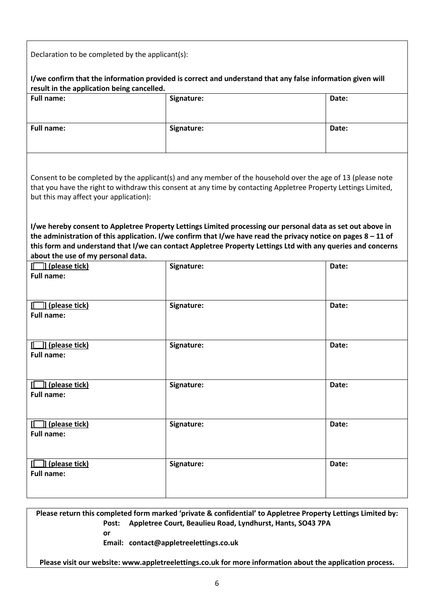Declaration to be completed by the applicant(s):

**I/we confirm that the information provided is correct and understand that any false information given will result in the application being cancelled.** 

| <b>Full name:</b> | Signature: | Date: |
|-------------------|------------|-------|
| <b>Full name:</b> | Signature: | Date: |

Consent to be completed by the applicant(s) and any member of the household over the age of 13 (please note that you have the right to withdraw this consent at any time by contacting Appletree Property Lettings Limited, but this may affect your application):

**I/we hereby consent to Appletree Property Lettings Limited processing our personal data as set out above in the administration of this application. I/we confirm that I/we have read the privacy notice on pages 8 – 11 of this form and understand that I/we can contact Appletree Property Lettings Ltd with any queries and concerns about the use of my personal data.** 

| $\Box$ ] (please tick)<br><b>Full name:</b>           | Signature: | Date: |
|-------------------------------------------------------|------------|-------|
| $\Box$ ] (please tick)                                | Signature: | Date: |
| <b>Full name:</b>                                     |            |       |
| $\Box$ ] (please tick)<br><b>Full name:</b>           | Signature: | Date: |
| ] (please tick)<br>П.<br><b>Full name:</b>            | Signature: | Date: |
| ]] (please tick)<br>П.<br><b>Full name:</b>           | Signature: | Date: |
| ]] (please tick)<br>$\mathbf{I}$<br><b>Full name:</b> | Signature: | Date: |

**Please return this completed form marked 'private & confidential' to Appletree Property Lettings Limited by: Post: Appletree Court, Beaulieu Road, Lyndhurst, Hants, SO43 7PA or**

 **Email: [contact@appletreelettings.co.uk](mailto:contact@appletreelettings.co.uk)** 

**Please visit our website[: www.appletreelettings.co.uk](http://www.appletreelettings.co.uk/) for more information about the application process.**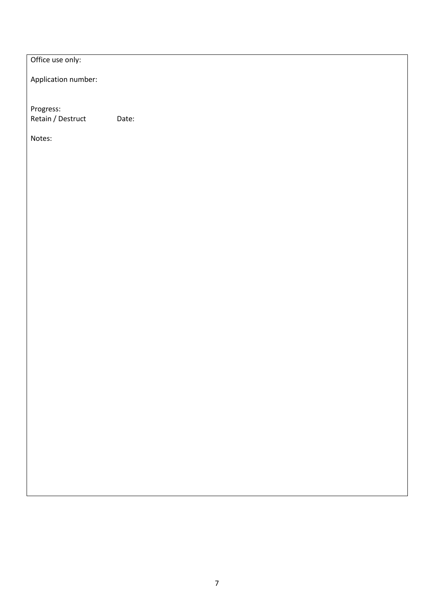Office use only:

Application number:

Progress: Retain / Destruct Date:

Notes: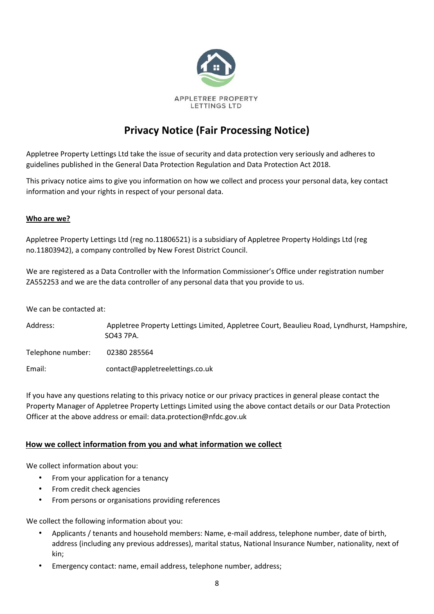

# **Privacy Notice (Fair Processing Notice)**

Appletree Property Lettings Ltd take the issue of security and data protection very seriously and adheres to guidelines published in the General Data Protection Regulation and Data Protection Act 2018.

This privacy notice aims to give you information on how we collect and process your personal data, key contact information and your rights in respect of your personal data.

### **Who are we?**

Appletree Property Lettings Ltd (reg no.11806521) is a subsidiary of Appletree Property Holdings Ltd (reg no.11803942), a company controlled by New Forest District Council.

We are registered as a Data Controller with the Information Commissioner's Office under registration number ZA552253 and we are the data controller of any personal data that you provide to us.

We can be contacted at:

Address: Appletree Property Lettings Limited, Appletree Court, Beaulieu Road, Lyndhurst, Hampshire, SO43 7PA.

Telephone number: 02380 285564

Email: contact@appletreelettings.co.uk

If you have any questions relating to this privacy notice or our privacy practices in general please contact the Property Manager of Appletree Property Lettings Limited using the above contact details or our Data Protection Officer at the above address or email: data.protection@nfdc.gov.uk

## **How we collect information from you and what information we collect**

We collect information about you:

- From your application for a tenancy
- From credit check agencies
- From persons or organisations providing references

We collect the following information about you:

- Applicants / tenants and household members: Name, e-mail address, telephone number, date of birth, address (including any previous addresses), marital status, National Insurance Number, nationality, next of kin;
- Emergency contact: name, email address, telephone number, address;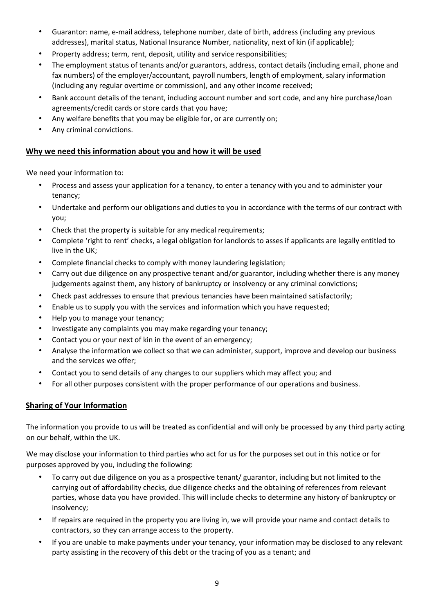- Guarantor: name, e-mail address, telephone number, date of birth, address (including any previous addresses), marital status, National Insurance Number, nationality, next of kin (if applicable);
- Property address; term, rent, deposit, utility and service responsibilities;
- The employment status of tenants and/or guarantors, address, contact details (including email, phone and fax numbers) of the employer/accountant, payroll numbers, length of employment, salary information (including any regular overtime or commission), and any other income received;
- Bank account details of the tenant, including account number and sort code, and any hire purchase/loan agreements/credit cards or store cards that you have;
- Any welfare benefits that you may be eligible for, or are currently on;
- Any criminal convictions.

## **Why we need this information about you and how it will be used**

We need your information to:

- Process and assess your application for a tenancy, to enter a tenancy with you and to administer your tenancy;
- Undertake and perform our obligations and duties to you in accordance with the terms of our contract with you;
- Check that the property is suitable for any medical requirements;
- Complete 'right to rent' checks, a legal obligation for landlords to asses if applicants are legally entitled to live in the UK;
- Complete financial checks to comply with money laundering legislation;
- Carry out due diligence on any prospective tenant and/or guarantor, including whether there is any money judgements against them, any history of bankruptcy or insolvency or any criminal convictions;
- Check past addresses to ensure that previous tenancies have been maintained satisfactorily;
- Enable us to supply you with the services and information which you have requested;
- Help you to manage your tenancy;
- Investigate any complaints you may make regarding your tenancy;
- Contact you or your next of kin in the event of an emergency;
- Analyse the information we collect so that we can administer, support, improve and develop our business and the services we offer;
- Contact you to send details of any changes to our suppliers which may affect you; and
- For all other purposes consistent with the proper performance of our operations and business.

# **Sharing of Your Information**

The information you provide to us will be treated as confidential and will only be processed by any third party acting on our behalf, within the UK.

We may disclose your information to third parties who act for us for the purposes set out in this notice or for purposes approved by you, including the following:

- To carry out due diligence on you as a prospective tenant/ guarantor, including but not limited to the carrying out of affordability checks, due diligence checks and the obtaining of references from relevant parties, whose data you have provided. This will include checks to determine any history of bankruptcy or insolvency;
- If repairs are required in the property you are living in, we will provide your name and contact details to contractors, so they can arrange access to the property.
- If you are unable to make payments under your tenancy, your information may be disclosed to any relevant party assisting in the recovery of this debt or the tracing of you as a tenant; and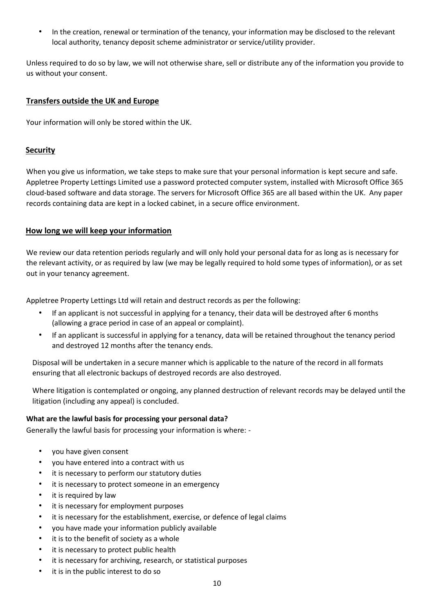• In the creation, renewal or termination of the tenancy, your information may be disclosed to the relevant local authority, tenancy deposit scheme administrator or service/utility provider.

Unless required to do so by law, we will not otherwise share, sell or distribute any of the information you provide to us without your consent.

## **Transfers outside the UK and Europe**

Your information will only be stored within the UK.

### **Security**

When you give us information, we take steps to make sure that your personal information is kept secure and safe. Appletree Property Lettings Limited use a password protected computer system, installed with Microsoft Office 365 cloud-based software and data storage. The servers for Microsoft Office 365 are all based within the UK. Any paper records containing data are kept in a locked cabinet, in a secure office environment.

### **How long we will keep your information**

We review our data retention periods regularly and will only hold your personal data for as long as is necessary for the relevant activity, or as required by law (we may be legally required to hold some types of information), or as set out in your tenancy agreement.

Appletree Property Lettings Ltd will retain and destruct records as per the following:

- If an applicant is not successful in applying for a tenancy, their data will be destroyed after 6 months (allowing a grace period in case of an appeal or complaint).
- If an applicant is successful in applying for a tenancy, data will be retained throughout the tenancy period and destroyed 12 months after the tenancy ends.

Disposal will be undertaken in a secure manner which is applicable to the nature of the record in all formats ensuring that all electronic backups of destroyed records are also destroyed.

Where litigation is contemplated or ongoing, any planned destruction of relevant records may be delayed until the litigation (including any appeal) is concluded.

#### **What are the lawful basis for processing your personal data?**

Generally the lawful basis for processing your information is where: -

- you have given consent
- you have entered into a contract with us
- it is necessary to perform our statutory duties
- it is necessary to protect someone in an emergency
- it is required by law
- it is necessary for employment purposes
- it is necessary for the establishment, exercise, or defence of legal claims
- you have made your information publicly available
- it is to the benefit of society as a whole
- it is necessary to protect public health
- it is necessary for archiving, research, or statistical purposes
- it is in the public interest to do so